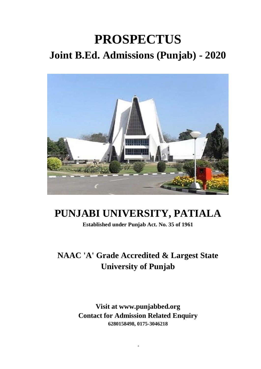# **PROSPECTUS Joint B.Ed. Admissions (Punjab) - 2020**



## **PUNJABI UNIVERSITY, PATIALA**

**Established under Punjab Act. No. 35 of 1961**

### **NAAC 'A' Grade Accredited & Largest State University of Punjab**

**Visit at www.punjabbed.org Contact for Admission Related Enquiry 6280158498, 0175-3046218**

1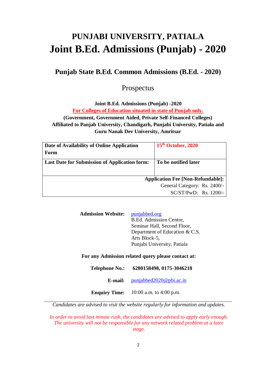## **PUNJABI UNIVERSITY, PATIALA Joint B.Ed. Admissions (Punjab) - 2020**

#### **Punjab State B.Ed. Common Admissions (B.Ed. - 2020)**

#### Prospectus

**Joint B.Ed. Admissions (Punjab) -2020**

**For Colleges of Education situated in state of Punjab only.**

**(Government, Government Aided, Private Self-Financed Colleges) Affiliated to Panjab University, Chandigarh, Punjabi University, Patiala and Guru Nanak Dev University, Amritsar**

| Date of Availability of Online Application           | 15 <sup>th</sup> October, 2020           |
|------------------------------------------------------|------------------------------------------|
| Form                                                 |                                          |
| <b>Last Date for Submission of Application form:</b> | To be notified later                     |
|                                                      |                                          |
|                                                      | <b>Application Fee [Non-Refundable]:</b> |
|                                                      | General Category: Rs. 2400/-             |
|                                                      | $SC/ST/PwD$ : Rs. 1200/-                 |

| <b>Admission Website:</b> | punjabbed.org                  |
|---------------------------|--------------------------------|
|                           | B.Ed. Admission Centre,        |
|                           | Seminar Hall, Second Floor,    |
|                           | Department of Education & C.S. |
|                           | Arts Block-5,                  |
|                           | Punjabi University, Patiala    |

#### **For any Admission related query please contact at:**

| <b>Telephone No.:</b> | 6280158498, 0175-3046218 |
|-----------------------|--------------------------|
|                       |                          |

**E-mail:** [punjabbed2020@pbi.ac.in](mailto:punjabbed2020@pbi.ac.in)

**Enquiry Time:** 10:00 a.m. to 4:00 p.m.

*Candidates are advised to visit the website regularly for information and updates.*

*In order to avoid last minute rush, the candidates are advised to apply early enough. The university will not be responsible for any network related problem at a later stage.*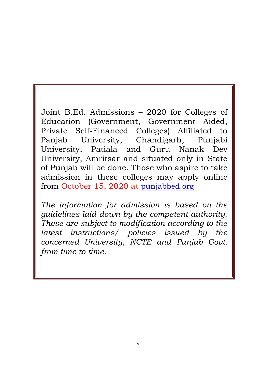Joint B.Ed. Admissions – 2020 for Colleges of Education (Government, Government Aided, Private Self-Financed Colleges) Affiliated to Panjab University, Chandigarh, Punjabi University, Patiala and Guru Nanak Dev University, Amritsar and situated only in State of Punjab will be done. Those who aspire to take admission in these colleges may apply online from October 15, 2020 at [punjabbed.org](https://punjabbed.org/)

*The information for admission is based on the guidelines laid down by the competent authority. These are subject to modification according to the latest instructions/ policies issued by the concerned University, NCTE and Punjab Govt. from time to time.*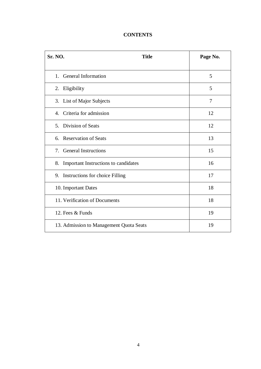#### **CONTENTS**

| <b>Sr. NO.</b><br><b>Title</b>             | Page No.       |
|--------------------------------------------|----------------|
| 1. General Information                     | 5              |
| 2. Eligibility                             | 5              |
| 3. List of Major Subjects                  | $\overline{7}$ |
| Criteria for admission<br>$\mathbf{4}$ .   | 12             |
| 5. Division of Seats                       | 12             |
| 6. Reservation of Seats                    | 13             |
| <b>General Instructions</b><br>7.          | 15             |
| Important Instructions to candidates<br>8. | 16             |
| 9. Instructions for choice Filling         | 17             |
| 10. Important Dates                        | 18             |
| 11. Verification of Documents              | 18             |
| 12. Fees & Funds                           | 19             |
| 13. Admission to Management Quota Seats    | 19             |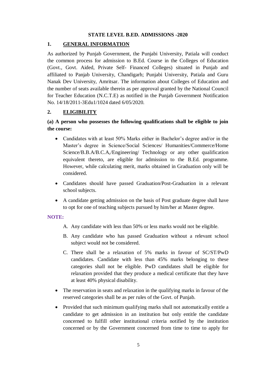#### **STATE LEVEL B.ED. ADMISSIONS -2020**

#### **1. GENERAL INFORMATION**

As authorized by Punjab Government, the Punjabi University, Patiala will conduct the common process for admission to B.Ed. Course in the Colleges of Education (Govt., Govt. Aided, Private Self- Financed Colleges) situated in Punjab and affiliated to Panjab University, Chandigarh; Punjabi University, Patiala and Guru Nanak Dev University, Amritsar. The information about Colleges of Education and the number of seats available therein as per approval granted by the National Council for Teacher Education (N.C.T.E) as notified in the Punjab Government Notification No. 14/18/2011-3Edu1/1024 dated 6/05/2020.

#### **2. ELIGIBILITY**

#### **(a) A person who possesses the following qualifications shall be eligible to join the course:**

- Candidates with at least 50% Marks either in Bachelor's degree and/or in the Master's degree in Science/Social Sciences/ Humanities/Commerce/Home Science/B.B.A/B.C.A,/Engineering/ Technology or any other qualification equivalent thereto, are eligible for admission to the B.Ed. programme. However, while calculating merit, marks obtained in Graduation only will be considered.
- Candidates should have passed Graduation/Post-Graduation in a relevant school subjects.
- A candidate getting admission on the basis of Post graduate degree shall have to opt for one of teaching subjects pursued by him/her at Master degree.

#### **NOTE:**

- A. Any candidate with less than 50% or less marks would not be eligible.
- B. Any candidate who has passed Graduation without a relevant school subject would not be considered.
- C. There shall be a relaxation of 5% marks in favour of SC/ST/PwD candidates. Candidate with less than 45% marks belonging to these categories shall not be eligible. PwD candidates shall be eligible for relaxation provided that they produce a medical certificate that they have at least 40% physical disability.
- The reservation in seats and relaxation in the qualifying marks in favour of the reserved categories shall be as per rules of the Govt. of Punjab.
- Provided that such minimum qualifying marks shall not automatically entitle a candidate to get admission in an institution but only entitle the candidate concerned to fulfill other institutional criteria notified by the institution concerned or by the Government concerned from time to time to apply for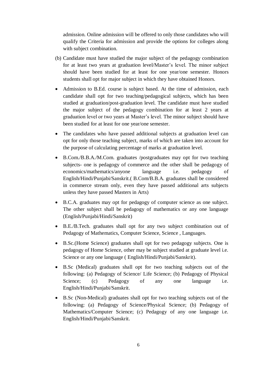admission. Online admission will be offered to only those candidates who will qualify the Criteria for admission and provide the options for colleges along with subject combination.

- (b) Candidate must have studied the major subject of the pedagogy combination for at least two years at graduation level/Master's level. The minor subject should have been studied for at least for one year/one semester. Honors students shall opt for major subject in which they have obtained Honors.
- Admission to B.Ed. course is subject based. At the time of admission, each candidate shall opt for two teaching/pedagogical subjects, which has been studied at graduation/post-graduation level. The candidate must have studied the major subject of the pedagogy combination for at least 2 years at graduation level or two years at Master's level. The minor subject should have been studied for at least for one year/one semester.
- The candidates who have passed additional subjects at graduation level can opt for only those teaching subject, marks of which are taken into account for the purpose of calculating percentage of marks at graduation level.
- B.Com./B.B.A./M.Com. graduates /postgraduates may opt for two teaching subjects- one is pedagogy of commerce and the other shall be pedagogy of economics/mathematics/anyone language i.e. pedagogy of English/Hindi/Punjabi/Sanskrit.( B.Com/B.B.A. graduates shall be considered in commerce stream only, even they have passed additional arts subjects unless they have passed Masters in Arts)
- B.C.A. graduates may opt for pedagogy of computer science as one subject. The other subject shall be pedagogy of mathematics or any one language (English/Punjabi/Hindi/Sanskrit)
- B.E./B.Tech. graduates shall opt for any two subject combination out of Pedagogy of Mathematics, Computer Science, Science , Languages.
- B.Sc.(Home Science) graduates shall opt for two pedagogy subjects. One is pedagogy of Home Science, other may be subject studied at graduate level i.e. Science or any one language ( English/Hindi/Punjabi/Sanskrit).
- B.Sc (Medical) graduates shall opt for two teaching subjects out of the following: (a) Pedagogy of Science/ Life Science; (b) Pedagogy of Physical Science; (c) Pedagogy of any one language i.e. English/Hindi/Punjabi/Sanskrit.
- B.Sc (Non-Medical) graduates shall opt for two teaching subjects out of the following: (a) Pedagogy of Science/Physical Science; (b) Pedagogy of Mathematics/Computer Science; (c) Pedagogy of any one language i.e. English/Hindi/Punjabi/Sanskrit.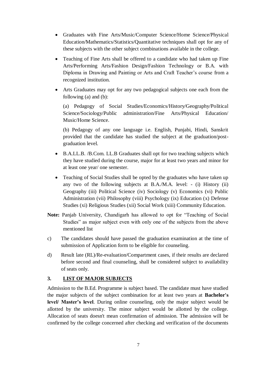- Graduates with Fine Arts/Music/Computer Science/Home Science/Physical Education/Mathematics/Statistics/Quantitative techniques shall opt for any of these subjects with the other subject combinations available in the college.
- Teaching of Fine Arts shall be offered to a candidate who had taken up Fine Arts/Performing Arts/Fashion Design/Fashion Technology or B.A. with Diploma in Drawing and Painting or Arts and Craft Teacher's course from a recognized institution.
- Arts Graduates may opt for any two pedagogical subjects one each from the following (a) and (b):

(a) Pedagogy of Social Studies/Economics/History/Geography/Political Science/Sociology/Public administration/Fine Arts/Physical Education/ Music/Home Science.

(b) Pedagogy of any one language i.e. English, Punjabi, Hindi, Sanskrit provided that the candidate has studied the subject at the graduation/postgraduation level.

- B.A.LL.B. /B.Com. LL.B Graduates shall opt for two teaching subjects which they have studied during the course, major for at least two years and minor for at least one year/ one semester.
- Teaching of Social Studies shall be opted by the graduates who have taken up any two of the following subjects at B.A./M.A. level: - (i) History (ii) Geography (iii) Political Science (iv) Sociology (v) Economics (vi) Public Administration (vii) Philosophy (viii) Psychology (ix) Education (x) Defense Studies (xi) Religious Studies (xii) Social Work (xiii) Community Education.
- **Note:** Panjab University, Chandigarh has allowed to opt for "Teaching of Social Studies" as major subject even with only one of the subjects from the above mentioned list
- c) The candidates should have passed the graduation examination at the time of submission of Application form to be eligible for counseling.
- d) Result late (RL)/Re-evaluation/Compartment cases, if their results are declared before second and final counseling, shall be considered subject to availability of seats only.

#### **3. LIST OF MAJOR SUBJECTS**

Admission to the B.Ed. Programme is subject based. The candidate must have studied the major subjects of the subject combination for at least two years at **Bachelor's level/ Master's level**. During online counseling, only the major subject would be allotted by the university. The minor subject would be allotted by the college. Allocation of seats doesn't mean confirmation of admission. The admission will be confirmed by the college concerned after checking and verification of the documents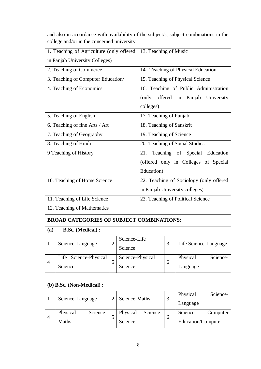and also in accordance with availability of the subject/s, subject combinations in the college and/or in the concerned university.

| 1. Teaching of Agriculture (only offered | 13. Teaching of Music                   |
|------------------------------------------|-----------------------------------------|
| in Panjab University Colleges)           |                                         |
| 2. Teaching of Commerce                  | 14. Teaching of Physical Education      |
| 3. Teaching of Computer Education/       | 15. Teaching of Physical Science        |
| 4. Teaching of Economics                 | 16. Teaching of Public Administration   |
|                                          | (only offered in Panjab University      |
|                                          | colleges)                               |
| 5. Teaching of English                   | 17. Teaching of Punjabi                 |
| 6. Teaching of fine Arts / Art           | 18. Teaching of Sanskrit                |
| 7. Teaching of Geography                 | 19. Teaching of Science                 |
| 8. Teaching of Hindi                     | 20. Teaching of Social Studies          |
| 9 Teaching of History                    | Teaching of Special Education<br>21.    |
|                                          | (offered only in Colleges of Special    |
|                                          | Education)                              |
| 10. Teaching of Home Science             | 22. Teaching of Sociology (only offered |
|                                          | in Panjab University colleges)          |
| 11. Teaching of Life Science             | 23. Teaching of Political Science       |
| 12. Teaching of Mathematics              |                                         |

#### **BROAD CATEGORIES OF SUBJECT COMBINATIONS:**

| (a)            | <b>B.Sc.</b> (Medical):    |                |                      |   |                       |  |
|----------------|----------------------------|----------------|----------------------|---|-----------------------|--|
| 1              | Science-Language           | $\overline{2}$ | Science-Life         | 3 | Life Science-Language |  |
|                |                            |                | Science              |   |                       |  |
| $\overline{4}$ | Science-Physical<br>Life   | 5              | Science-Physical     | 6 | Science-<br>Physical  |  |
|                | Science                    | Science        |                      |   | Language              |  |
|                |                            |                |                      |   |                       |  |
|                | $(b)$ B.Sc. (Non-Medical): |                |                      |   |                       |  |
| 1              | Science-Language           | $\overline{2}$ | Science-Maths        | 3 | Physical<br>Science-  |  |
|                |                            |                |                      |   | Language              |  |
| $\overline{4}$ | Science-<br>Physical       | 5              | Physical<br>Science- | 6 | Science-<br>Computer  |  |
|                | <b>Maths</b>               |                | Science              |   | Education/Computer    |  |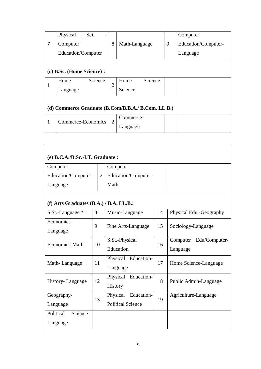|   | Physical                                           | Sci.     |                |                  |   | Computer            |
|---|----------------------------------------------------|----------|----------------|------------------|---|---------------------|
| 7 | Computer                                           |          | 8              | Math-Language    | 9 | Education/Computer- |
|   | Education/Computer                                 |          |                |                  |   | Language            |
|   |                                                    |          |                |                  |   |                     |
|   | (c) B.Sc. (Home Science) :                         |          |                |                  |   |                     |
| 1 | Home                                               | Science- | $\overline{2}$ | Science-<br>Home |   |                     |
|   | Language                                           |          |                | Science          |   |                     |
|   |                                                    |          |                |                  |   |                     |
|   | (d) Commerce Graduate (B.Com/B.B.A./ B.Com. LL.B.) |          |                |                  |   |                     |
| 1 | Commerce-Economics                                 |          | $\overline{2}$ | Commerce-        |   |                     |
|   |                                                    |          |                | Language         |   |                     |

| (e) B.C.A./B.Sc.-I.T. Graduate:         |                |                                 |    |                                       |  |  |  |
|-----------------------------------------|----------------|---------------------------------|----|---------------------------------------|--|--|--|
| Computer                                |                | Computer                        |    |                                       |  |  |  |
| Education/Computer-                     | $\overline{2}$ | Education/Computer-             |    |                                       |  |  |  |
| Language                                |                | Math                            |    |                                       |  |  |  |
| (f) Arts Graduates $(B.A.)/B.A. LL.B.:$ |                |                                 |    |                                       |  |  |  |
| S.St.-Language *                        | 8              | Music-Language                  | 14 | Physical Edu.-Geography               |  |  |  |
| Economics-<br>Language                  | 9              | Fine Arts-Language              |    | Sociology-Language                    |  |  |  |
| Economics-Math                          | 10             | S.St.-Physical<br>Education     | 16 | Edu/Computer-<br>Computer<br>Language |  |  |  |
| Math-Language                           | 11             | Physical Education-<br>Language | 17 | Home Science-Language                 |  |  |  |
| History-Language                        | 12             | Physical Education-<br>History  | 18 | Public Admin-Language                 |  |  |  |
| Geography-                              | 13             | Physical<br>Education-          | 19 | Agriculture-Language                  |  |  |  |
| Language                                |                | <b>Political Science</b>        |    |                                       |  |  |  |
| Political<br>Science-                   |                |                                 |    |                                       |  |  |  |
| Language                                |                |                                 |    |                                       |  |  |  |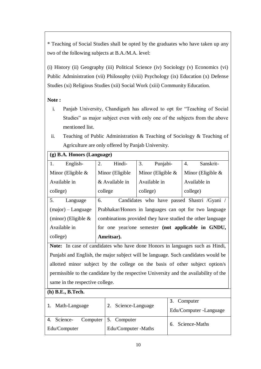\* Teaching of Social Studies shall be opted by the graduates who have taken up any two of the following subjects at B.A./M.A. level:

(i) History (ii) Geography (iii) Political Science (iv) Sociology (v) Economics (vi) Public Administration (vii) Philosophy (viii) Psychology (ix) Education (x) Defense Studies (xi) Religious Studies (xii) Social Work (xiii) Community Education.

#### **Note :**

- i. Panjab University, Chandigarh has allowed to opt for "Teaching of Social Studies" as major subject even with only one of the subjects from the above mentioned list.
- ii. Teaching of Public Administration & Teaching of Sociology & Teaching of Agriculture are only offered by Panjab University.

| $(g)$ B.A. Honors (Language) |                  |                                                            |                      |
|------------------------------|------------------|------------------------------------------------------------|----------------------|
| 1.<br>English-               | 2.<br>Hindi-     | 3.<br>Punjabi-                                             | 4.<br>Sanskrit-      |
| Minor (Eligible $\&$         | Minor (Eligible) | Minor (Eligible $\&$                                       | Minor (Eligible $\&$ |
| Available in                 | & Available in   | Available in                                               | Available in         |
| college)                     | college          | college)                                                   | college)             |
| 5.<br>Language               | 6.               | Candidates who have passed Shastri /Gyani /                |                      |
| $(major)$ – Language         |                  | Prabhakar/Honors in languages can opt for two language     |                      |
| (minor) (Eligible $\&$       |                  | combinations provided they have studied the other language |                      |
| Available in                 |                  | for one year/one semester (not applicable in GNDU,         |                      |
| college)                     | Amritsar).       |                                                            |                      |

**Note:** In case of candidates who have done Honors in languages such as Hindi, Punjabi and English, the major subject will be language. Such candidates would be allotted minor subject by the college on the basis of other subject option/s permissible to the candidate by the respective University and the availability of the same in the respective college.

#### **(h) B.E., B.Tech.**

| Math-Language | 2. Science-Language  | 3. Computer<br>Edu/Computer - Language |  |
|---------------|----------------------|----------------------------------------|--|
| 4. Science-   | Computer 5. Computer | 6. Science-Maths                       |  |
| Edu/Computer  | Edu/Computer -Maths  |                                        |  |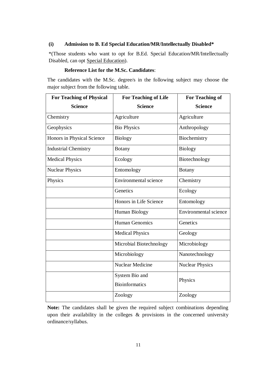#### **(i) Admission to B. Ed Special Education/MR/Intellectually Disabled\***

\*(Those students who want to opt for B.Ed. Special Education/MR/Intellectually Disabled, can opt Special Education).

#### **Reference List for the M.Sc. Candidates**:

The candidates with the M.Sc. degree/s in the following subject may choose the major subject from the following table.

| <b>For Teaching of Physical</b> | <b>For Teaching of Life</b>             | <b>For Teaching of</b> |
|---------------------------------|-----------------------------------------|------------------------|
| <b>Science</b>                  | <b>Science</b>                          | <b>Science</b>         |
| Chemistry                       | Agriculture                             | Agriculture            |
| Geophysics                      | <b>Bio Physics</b>                      | Anthropology           |
| Honors in Physical Science      | <b>Biology</b>                          | Biochemistry           |
| <b>Industrial Chemistry</b>     | <b>Botany</b>                           | <b>Biology</b>         |
| <b>Medical Physics</b>          | Ecology                                 | Biotechnology          |
| <b>Nuclear Physics</b>          | Entomology                              | <b>Botany</b>          |
| Physics                         | Environmental science                   | Chemistry              |
|                                 | Genetics                                | Ecology                |
|                                 | Honors in Life Science                  | Entomology             |
|                                 | Human Biology                           | Environmental science  |
|                                 | <b>Human Genomics</b>                   | Genetics               |
|                                 | <b>Medical Physics</b>                  | Geology                |
|                                 | Microbial Biotechnology                 | Microbiology           |
|                                 | Microbiology                            | Nanotechnology         |
|                                 | <b>Nuclear Medicine</b>                 | <b>Nuclear Physics</b> |
|                                 | System Bio and<br><b>Bioinformatics</b> | Physics                |
|                                 | Zoology                                 | Zoology                |

**Note:** The candidates shall be given the required subject combinations depending upon their availability in the colleges  $\&$  provisions in the concerned university ordinance/syllabus.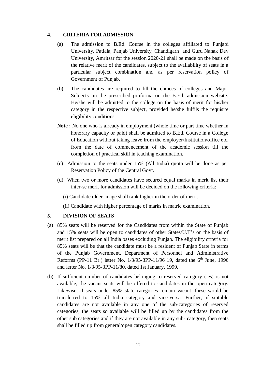#### **4. CRITERIA FOR ADMISSION**

- (a) The admission to B.Ed. Course in the colleges affiliated to Punjabi University, Patiala, Panjab University, Chandigarh and Guru Nanak Dev University, Amritsar for the session 2020-21 shall be made on the basis of the relative merit of the candidates, subject to the availability of seats in a particular subject combination and as per reservation policy of Government of Punjab.
- (b) The candidates are required to fill the choices of colleges and Major Subjects on the prescribed proforma on the B.Ed. admission website. He/she will be admitted to the college on the basis of merit for his/her category in the respective subject, provided he/she fulfils the requisite eligibility conditions.
- **Note :** No one who is already in employment (whole time or part time whether in honorary capacity or paid) shall be admitted to B.Ed. Course in a College of Education without taking leave from the employer/Institution/office etc. from the date of commencement of the academic session till the completion of practical skill in teaching examination.
- (c) Admission to the seats under 15% (All India) quota will be done as per Reservation Policy of the Central Govt.
- (d) When two or more candidates have secured equal marks in merit list their inter-se merit for admission will be decided on the following criteria:
	- (i) Candidate older in age shall rank higher in the order of merit.
	- (ii) Candidate with higher percentage of marks in matric examination.

#### **5. DIVISION OF SEATS**

- (a) 85% seats will be reserved for the Candidates from within the State of Punjab and 15% seats will be open to candidates of other States/U.T's on the basis of merit list prepared on all India bases excluding Punjab. The eligibility criteria for 85% seats will be that the candidate must be a resident of Punjab State in terms of the Punjab Government, Department of Personnel and Administrative Reforms (PP-11 Br.) letter No.  $1/3/95$ -3PP-11/96 19, dated the  $6<sup>th</sup>$  June, 1996 and letter No. 1/3/95-3PP-11/80, dated 1st January, 1999.
- (b) If sufficient number of candidates belonging to reserved category (ies) is not available, the vacant seats will be offered to candidates in the open category. Likewise, if seats under 85% state categories remain vacant, these would be transferred to 15% all India category and vice-versa. Further, if suitable candidates are not available in any one of the sub-categories of reserved categories, the seats so available will be filled up by the candidates from the other sub categories and if they are not available in any sub- category, then seats shall be filled up from general/open category candidates.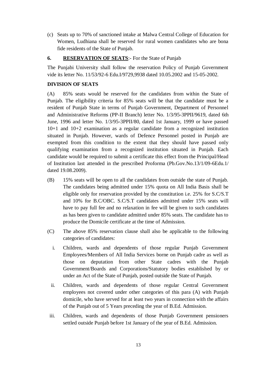(c) Seats up to 70% of sanctioned intake at Malwa Central College of Education for Women, Ludhiana shall be reserved for rural women candidates who are bona fide residents of the State of Punjab.

#### **6. RESERVATION OF SEATS**:- For the State of Punjab

The Punjabi University shall follow the reservation Policy of Punjab Government vide its letter No. 11/53/92-6 Edu.I/9729,9938 dated 10.05.2002 and 15-05-2002.

#### **DIVISION OF SEATS**

(A) 85% seats would be reserved for the candidates from within the State of Punjab. The eligibility criteria for 85% seats will be that the candidate must be a resident of Punjab State in terms of Punjab Government, Department of Personnel and Administrative Reforms (PP-II Branch) letter No. 1/3/95-3PPII/9619, dated 6th June, 1996 and letter No. 1/3/95-3PPII/80, dated 1st January, 1999 or have passed 10+1 and 10+2 examination as a regular candidate from a recognized institution situated in Punjab. However, wards of Defence Personnel posted in Punjab are exempted from this condition to the extent that they should have passed only qualifying examination from a recognized institution situated in Punjab. Each candidate would be required to submit a certificate this effect from the Principal/Head of Institution last attended in the prescribed Proforma (Pb.Gov.No.13/1/09-6Edu.1/ dated 19.08.2009).

- (B) 15% seats will be open to all the candidates from outside the state of Punjab. The candidates being admitted under 15% quota on All India Basis shall be eligible only for reservation provided by the constitution i.e. 25% for S.C/S.T and 10% for B.C/OBC. S.C/S.T candidates admitted under 15% seats will have to pay full fee and no relaxation in fee will be given to such candidates as has been given to candidate admitted under 85% seats. The candidate has to produce the Domicile certificate at the time of Admission.
- (C) The above 85% reservation clause shall also be applicable to the following categories of candidates:
	- i. Children, wards and dependents of those regular Punjab Government Employees/Members of All India Services borne on Punjab cadre as well as those on deputation from other State cadres with the Punjab Government/Boards and Corporations/Statutory bodies established by or under an Act of the State of Punjab, posted outside the State of Punjab.
	- ii. Children, wards and dependents of those regular Central Government employees not covered under other categories of this para (A) with Punjab domicile, who have served for at least two years in connection with the affairs of the Punjab out of 5 Years preceding the year of B.Ed. Admission.
- iii. Children, wards and dependents of those Punjab Government pensioners settled outside Punjab before 1st January of the year of B.Ed. Admission.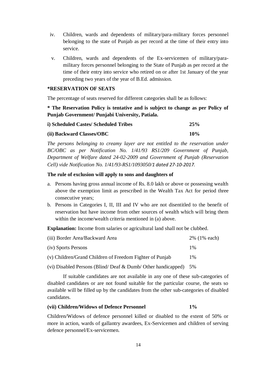- iv. Children, wards and dependents of military/para-military forces personnel belonging to the state of Punjab as per record at the time of their entry into service.
- v. Children, wards and dependents of the Ex-servicemen of military/paramilitary forces personnel belonging to the State of Punjab as per record at the time of their entry into service who retired on or after 1st January of the year preceding two years of the year of B.Ed. admission.

#### **\*RESERVATION OF SEATS**

The percentage of seats reserved for different categories shall be as follows:

**\* The Reservation Policy is tentative and is subject to change as per Policy of Punjab Government/ Punjabi University, Patiala.**

| i) Scheduled Castes/ Scheduled Tribes | 25% |
|---------------------------------------|-----|
| (ii) Backward Classes/OBC             | 10% |

*The persons belonging to creamy layer are not entitled to the reservation under BC/OBC as per Notification No. 1/41/93 RS1/209 Government of Punjab, Department of Welfare dated 24-02-2009 and Government of Punjab (Reservation Cell) vide Notification No. 1/41/93-RS1/1093050/1 dated 27-10-2017.* 

#### **The rule of exclusion will apply to sons and daughters of**

- a. Persons having gross annual income of Rs. 8.0 lakh or above or possessing wealth above the exemption limit as prescribed in the Wealth Tax Act for period three consecutive years;
- b. Persons in Categories I, II, III and IV who are not disentitled to the benefit of reservation but have income from other sources of wealth which will bring them within the income/wealth criteria mentioned in (a) above.

**Explanation:** Income from salaries or agricultural land shall not be clubbed.

| (iii) Border Area/Backward Area                             | 2% (1% each) |
|-------------------------------------------------------------|--------------|
| (iv) Sports Persons                                         | $1\%$        |
| (v) Children/Grand Children of Freedom Fighter of Punjab    | $1\%$        |
| (vi) Disabled Persons (Blind/Deaf & Dumb/Other handicapped) | - 5%         |

If suitable candidates are not available in any one of these sub-categories of disabled candidates or are not found suitable for the particular course, the seats so available will be filled up by the candidates from the other sub-categories of disabled candidates.

#### **(vii) Children/Widows of Defence Personnel 1%**

Children/Widows of defence personnel killed or disabled to the extent of 50% or more in action, wards of gallantry awardees, Ex-Servicemen and children of serving defence personnel/Ex-servicemen.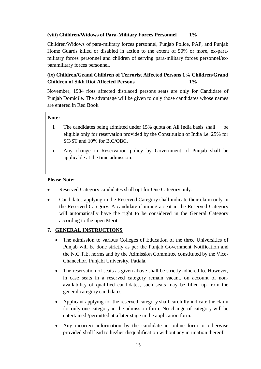#### **(viii) Children/Widows of Para-Military Forces Personnel 1%**

Children/Widows of para-military forces personnel, Punjab Police, PAP, and Punjab Home Guards killed or disabled in action to the extent of 50% or more, ex-paramilitary forces personnel and children of serving para-military forces personnel/exparamilitary forces personnel.

#### **(ix) Children/Grand Children of Terrorist Affected Persons 1% Children/Grand Children of Sikh Riot Affected Persons 1%**

November, 1984 riots affected displaced persons seats are only for Candidate of Punjab Domicile. The advantage will be given to only those candidates whose names are entered in Red Book.

#### **Note:**

- i. The candidates being admitted under 15% quota on All India basis shall be eligible only for reservation provided by the Constitution of India i.e. 25% for SC/ST and 10% for B.C/OBC.
- ii. Any change in Reservation policy by Government of Punjab shall be applicable at the time admission.

#### **Please Note:**

- Reserved Category candidates shall opt for One Category only.
- Candidates applying in the Reserved Category shall indicate their claim only in the Reserved Category. A candidate claiming a seat in the Reserved Category will automatically have the right to be considered in the General Category according to the open Merit.

#### **7. GENERAL INSTRUCTIONS**

- The admission to various Colleges of Education of the three Universities of Punjab will be done strictly as per the Punjab Government Notification and the N.C.T.E. norms and by the Admission Committee constituted by the Vice-Chancellor, Punjabi University, Patiala.
- The reservation of seats as given above shall be strictly adhered to. However, in case seats in a reserved category remain vacant, on account of nonavailability of qualified candidates, such seats may be filled up from the general category candidates.
- Applicant applying for the reserved category shall carefully indicate the claim for only one category in the admission form. No change of category will be entertained /permitted at a later stage in the application form.
- Any incorrect information by the candidate in online form or otherwise provided shall lead to his/her disqualification without any intimation thereof.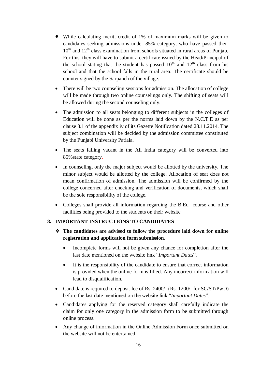- While calculating merit, credit of 1% of maximum marks will be given to candidates seeking admissions under 85% category, who have passed their  $10<sup>th</sup>$  and  $12<sup>th</sup>$  class examination from schools situated in rural areas of Punjab. For this, they will have to submit a certificate issued by the Head/Principal of the school stating that the student has passed  $10<sup>th</sup>$  and  $12<sup>th</sup>$  class from his school and that the school falls in the rural area. The certificate should be counter signed by the Sarpanch of the village.
- There will be two counseling sessions for admission. The allocation of college will be made through two online counselings only. The shifting of seats will be allowed during the second counseling only.
- The admission to all seats belonging to different subjects in the colleges of Education will be done as per the norms laid down by the N.C.T.E as per clause 3.1 of the appendix iv of its Gazette Notification dated 28.11.2014. The subject combination will be decided by the admission committee constituted by the Punjabi University Patiala.
- The seats falling vacant in the All India category will be converted into 85%state category.
- In counseling, only the major subject would be allotted by the university. The minor subject would be allotted by the college. Allocation of seat does not mean confirmation of admission. The admission will be confirmed by the college concerned after checking and verification of documents, which shall be the sole responsibility of the college.
- Colleges shall provide all information regarding the B.Ed course and other facilities being provided to the students on their website

#### **8. IMPORTANT INSTRUCTIONS TO CANDIDATES**

- **The candidates are advised to follow the procedure laid down for online registration and application form submission**.
	- Incomplete forms will not be given any chance for completion after the last date mentioned on the website link "*Important Dates*".
	- It is the responsibility of the candidate to ensure that correct information is provided when the online form is filled. Any incorrect information will lead to disqualification.
- Candidate is required to deposit fee of Rs. 2400/- (Rs. 1200/- for SC/ST/PwD) before the last date mentioned on the website link "*Important Dates*".
- Candidates applying for the reserved category shall carefully indicate the claim for only one category in the admission form to be submitted through online process.
- Any change of information in the Online Admission Form once submitted on the website will not be entertained.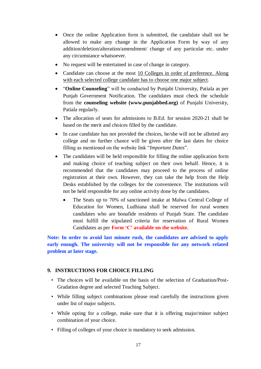- Once the online Application form is submitted, the candidate shall not be allowed to make any change in the Application Form by way of any addition/deletion/alteration/amendment/ change of any particular etc. under any circumstance whatsoever.
- No request will be entertained in case of change in category.
- Candidate can choose at the most 10 Colleges in order of preference. Along with each selected college candidate has to choose one major subject.
- "**Online Counseling**" will be conducted by Punjabi University, Patiala as per Punjab Government Notification. The candidates must check the schedule from the **counseling website (www.punjabbed.org)** of Punjabi University, Patiala regularly.
- The allocation of seats for admissions to B.Ed. for session 2020-21 shall be based on the merit and choices filled by the candidate.
- In case candidate has not provided the choices, he/she will not be allotted any college and no further chance will be given after the last dates for choice filling as mentioned on the website link "*Important Dates*".
- The candidates will be held responsible for filling the online application form and making choice of teaching subject on their own behalf. Hence, it is recommended that the candidates may proceed to the process of online registration at their own. However, they can take the help from the Help Desks established by the colleges for the convenience. The institutions will not be held responsible for any online activity done by the candidates.
	- The Seats up to 70% of sanctioned intake at Malwa Central College of Education for Women, Ludhiana shall be reserved for rural women candidates who are bonafide residents of Punjab State. The candidate must fulfill the stipulated criteria for reservation of Rural Women Candidates as per **Form 'C' available on the website.**

**Note: In order to avoid last minute rush, the candidates are advised to apply early enough. The university will not be responsible for any network related problem at later stage.**

#### **9. INSTRUCTIONS FOR CHOICE FILLING**

- The choices will be available on the basis of the selection of Graduation/Post-Gradation degree and selected Teaching Subject.
- While filling subject combinations please read carefully the instructions given under list of major subjects.
- While opting for a college, make sure that it is offering major/minor subject combination of your choice.
- Filling of colleges of your choice is mandatory to seek admission.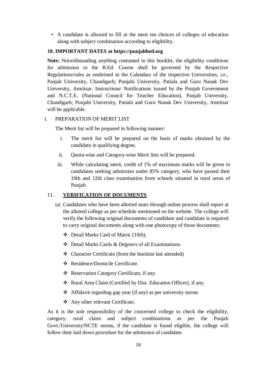• A candidate is allowed to fill at the most ten choices of colleges of education along with subject combination according to eligibility.

#### **10. IMPORTANT DATES at https://punjabbed.org**

**Note:** Notwithstanding anything contained in this booklet, the eligibility conditions for admission to the B.Ed. Course shall be governed by the Respective Regulations/rules as enshrined in the Calendars of the respective Universities, i.e., Panjab University, Chandigarh; Punjabi University, Patiala and Guru Nanak Dev University, Amritsar. Instructions/ Notifications issued by the Punjab Government and N.C.T.E. (National Council for Teacher Education), Panjab University, Chandigarh; Punjabi University, Patiala and Guru Nanak Dev University, Amritsar will be applicable.

#### I. PREPARATION OF MERIT LIST

The Merit list will be prepared in following manner:

- i. The merit list will be prepared on the basis of marks obtained by the candidate in qualifying degree.
- ii. Quota-wise and Category-wise Merit lists will be prepared.
- iii. While calculating merit, credit of 1% of maximum marks will be given to candidates seeking admission under 85% category, who have passed their 10th and 12th class examination from schools situated in rural areas of Punjab.

#### 11. **VERIFICATION OF DOCUMENTS**

- (a) Candidates who have been allotted seats through online process shall report at the allotted college as per schedule mentioned on the website. The college will verify the following original documents of candidate and candidate is required to carry original documents along with one photocopy of those documents:
	- Detail Marks Card of Matric (10th).
	- Detail Marks Cards & Degree/s of all Examinations.
	- Character Certificate (from the Institute last attended)
	- Residence/Domicile Certificate.
	- \* Reservation Category Certificate, if any.
	- \* Rural Area Claim (Certified by Dist. Education Officer), if any.
	- Affidavit regarding gap year (if any) as per university norms
	- Any other relevant Certificate.

As it is the sole responsibility of the concerned college to check the eligibility, category, rural claim and subject combinations as per the Punjab Govt./University/NCTE norms, if the candidate is found eligible, the college will follow their laid down procedure for the admission of candidate.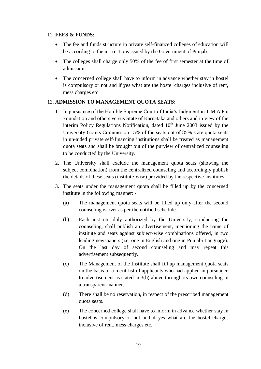#### 12. **FEES & FUNDS:**

- The fee and funds structure in private self-financed colleges of education will be according to the instructions issued by the Government of Punjab.
- The colleges shall charge only 50% of the fee of first semester at the time of admission.
- The concerned college shall have to inform in advance whether stay in hostel is compulsory or not and if yes what are the hostel charges inclusive of rent, mess charges etc.

#### 13. **ADMISSION TO MANAGEMENT QUOTA SEATS:**

- 1. In pursuance of the Hon'ble Supreme Court of India's Judgment in T.M.A Pai Foundation and others versus State of Karnataka and others and in view of the interim Policy Regulations Notification, dated  $10<sup>th</sup>$  June 2003 issued by the University Grants Commission 15% of the seats out of 85% state quota seats in un-aided private self-financing institutions shall be treated as management quota seats and shall be brought out of the purview of centralized counseling to be conducted by the University.
- 2. The University shall exclude the management quota seats (showing the subject combination) from the centralized counseling and accordingly publish the details of these seats (institute-wise) provided by the respective institutes.
- 3. The seats under the management quota shall be filled up by the concerned institute in the following manner: -
	- (a) The management quota seats will be filled up only after the second counseling is over as per the notified schedule.
	- (b) Each institute duly authorized by the University, conducting the counseling, shall publish an advertisement, mentioning the name of institute and seats against subject-wise combinations offered, in two leading newspapers (i.e. one in English and one in Punjabi Language). On the last day of second counseling and may repeat this advertisement subsequently.
	- (c) The Management of the Institute shall fill up management quota seats on the basis of a merit list of applicants who had applied in pursuance to advertisement as stated in 3(b) above through its own counseling in a transparent manner.
	- (d) There shall be no reservation, in respect of the prescribed management quota seats.
	- (e) The concerned college shall have to inform in advance whether stay in hostel is compulsory or not and if yes what are the hostel charges inclusive of rent, mess charges etc.